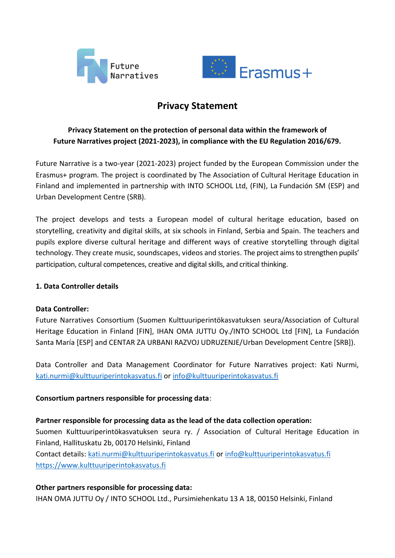



# **Privacy Statement**

# **Privacy Statement on the protection of personal data within the framework of Future Narratives project (2021-2023), in compliance with the EU Regulation 2016/679.**

Future Narrative is a two-year (2021-2023) project funded by the European Commission under the Erasmus+ program. The project is coordinated by The Association of Cultural Heritage Education in Finland and implemented in partnership with INTO SCHOOL Ltd, (FIN), La Fundación SM (ESP) and Urban Development Centre (SRB).

The project develops and tests a European model of cultural heritage education, based on storytelling, creativity and digital skills, at six schools in Finland, Serbia and Spain. The teachers and pupils explore diverse cultural heritage and different ways of creative storytelling through digital technology. They create music, soundscapes, videos and stories. The project aims to strengthen pupils' participation, cultural competences, creative and digital skills, and critical thinking.

# **1. Data Controller details**

# **Data Controller:**

Future Narratives Consortium (Suomen Kulttuuriperintökasvatuksen seura/Association of Cultural Heritage Education in Finland [FIN], IHAN OMA JUTTU Oy./INTO SCHOOL Ltd [FIN], La Fundación Santa María [ESP] and CENTAR ZA URBANI RAZVOJ UDRUZENJE/Urban Development Centre [SRB]).

Data Controller and Data Management Coordinator for Future Narratives project: Kati Nurmi, [kati.nurmi@kulttuuriperintokasvatus.fi](mailto:kati.nurmi@kulttuuriperintokasvatus.fi) or [info@kulttuuriperintokasvatus.fi](mailto:info@kulttuuriperintokasvatus.fi)

# **Consortium partners responsible for processing data**:

**Partner responsible for processing data as the lead of the data collection operation:** Suomen Kulttuuriperintökasvatuksen seura ry. / Association of Cultural Heritage Education in Finland, Hallituskatu 2b, 00170 Helsinki, Finland Contact details: [kati.nurmi@kulttuuriperintokasvatus.fi](mailto:kati.nurmi@kulttuuriperintokasvatus.fi) or [info@kulttuuriperintokasvatus.fi](mailto:info@kulttuuriperintokasvatus.fi) [https://www.kulttuuriperintokasvatus.fi](https://www.kulttuuriperintokasvatus.fi/)

# **Other partners responsible for processing data:**

IHAN OMA JUTTU Oy / INTO SCHOOL Ltd., Pursimiehenkatu 13 A 18, 00150 Helsinki, Finland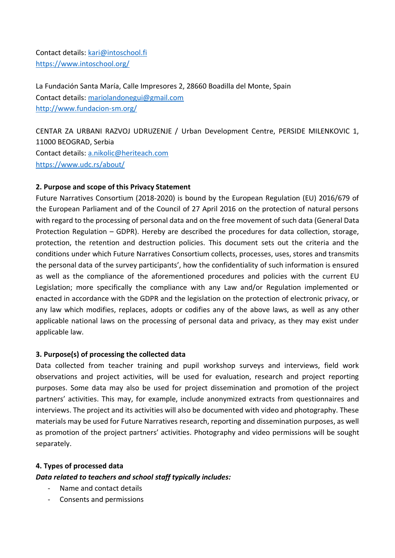Contact details: [kari@intoschool.fi](mailto:kari@intoschool.fi) <https://www.intoschool.org/>

La Fundación Santa María, Calle Impresores 2, 28660 Boadilla del Monte, Spain Contact details: [mariolandonegui@gmail.com](mailto:mariolandonegui@gmail.com) <http://www.fundacion-sm.org/>

CENTAR ZA URBANI RAZVOJ UDRUZENJE / Urban Development Centre, PERSIDE MILENKOVIC 1, 11000 BEOGRAD, Serbia Contact details: [a.nikolic@heriteach.com](mailto:a.nikolic@heriteach.com) <https://www.udc.rs/about/>

# **2. Purpose and scope of this Privacy Statement**

Future Narratives Consortium (2018-2020) is bound by the European Regulation (EU) 2016/679 of the European Parliament and of the Council of 27 April 2016 on the protection of natural persons with regard to the processing of personal data and on the free movement of such data (General Data Protection Regulation – GDPR). Hereby are described the procedures for data collection, storage, protection, the retention and destruction policies. This document sets out the criteria and the conditions under which Future Narratives Consortium collects, processes, uses, stores and transmits the personal data of the survey participants', how the confidentiality of such information is ensured as well as the compliance of the aforementioned procedures and policies with the current EU Legislation; more specifically the compliance with any Law and/or Regulation implemented or enacted in accordance with the GDPR and the legislation on the protection of electronic privacy, or any law which modifies, replaces, adopts or codifies any of the above laws, as well as any other applicable national laws on the processing of personal data and privacy, as they may exist under applicable law.

# **3. Purpose(s) of processing the collected data**

Data collected from teacher training and pupil workshop surveys and interviews, field work observations and project activities, will be used for evaluation, research and project reporting purposes. Some data may also be used for project dissemination and promotion of the project partners' activities. This may, for example, include anonymized extracts from questionnaires and interviews. The project and its activities will also be documented with video and photography. These materials may be used for Future Narratives research, reporting and dissemination purposes, as well as promotion of the project partners' activities. Photography and video permissions will be sought separately.

#### **4. Types of processed data**

*Data related to teachers and school staff typically includes:*

- Name and contact details
- Consents and permissions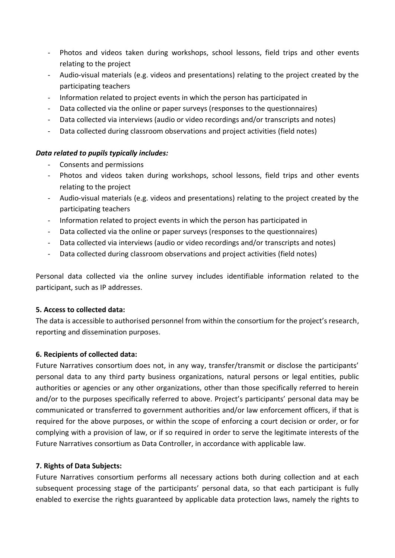- Photos and videos taken during workshops, school lessons, field trips and other events relating to the project
- Audio-visual materials (e.g. videos and presentations) relating to the project created by the participating teachers
- Information related to project events in which the person has participated in
- Data collected via the online or paper surveys (responses to the questionnaires)
- Data collected via interviews (audio or video recordings and/or transcripts and notes)
- Data collected during classroom observations and project activities (field notes)

#### *Data related to pupils typically includes:*

- Consents and permissions
- Photos and videos taken during workshops, school lessons, field trips and other events relating to the project
- Audio-visual materials (e.g. videos and presentations) relating to the project created by the participating teachers
- Information related to project events in which the person has participated in
- Data collected via the online or paper surveys (responses to the questionnaires)
- Data collected via interviews (audio or video recordings and/or transcripts and notes)
- Data collected during classroom observations and project activities (field notes)

Personal data collected via the online survey includes identifiable information related to the participant, such as IP addresses.

# **5. Access to collected data:**

The data is accessible to authorised personnel from within the consortium for the project's research, reporting and dissemination purposes.

# **6. Recipients of collected data:**

Future Narratives consortium does not, in any way, transfer/transmit or disclose the participants' personal data to any third party business organizations, natural persons or legal entities, public authorities or agencies or any other organizations, other than those specifically referred to herein and/or to the purposes specifically referred to above. Project's participants' personal data may be communicated or transferred to government authorities and/or law enforcement officers, if that is required for the above purposes, or within the scope of enforcing a court decision or order, or for complying with a provision of law, or if so required in order to serve the legitimate interests of the Future Narratives consortium as Data Controller, in accordance with applicable law.

#### **7. Rights of Data Subjects:**

Future Narratives consortium performs all necessary actions both during collection and at each subsequent processing stage of the participants' personal data, so that each participant is fully enabled to exercise the rights guaranteed by applicable data protection laws, namely the rights to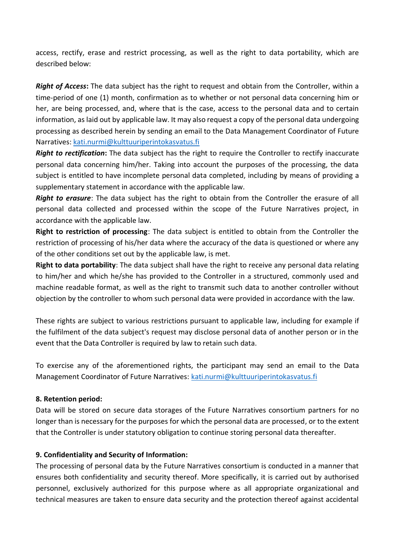access, rectify, erase and restrict processing, as well as the right to data portability, which are described below:

*Right of Access***:** The data subject has the right to request and obtain from the Controller, within a time-period of one (1) month, confirmation as to whether or not personal data concerning him or her, are being processed, and, where that is the case, access to the personal data and to certain information, as laid out by applicable law. It may also request a copy of the personal data undergoing processing as described herein by sending an email to the Data Management Coordinator of Future Narratives: [kati.nurmi@kulttuuriperintokasvatus.fi](mailto:kati.nurmi@kulttuuriperintokasvatus.fi)

*Right to rectification***:** The data subject has the right to require the Controller to rectify inaccurate personal data concerning him/her. Taking into account the purposes of the processing, the data subject is entitled to have incomplete personal data completed, including by means of providing a supplementary statement in accordance with the applicable law.

*Right to erasure*: The data subject has the right to obtain from the Controller the erasure of all personal data collected and processed within the scope of the Future Narratives project, in accordance with the applicable law.

**Right to restriction of processing**: The data subject is entitled to obtain from the Controller the restriction of processing of his/her data where the accuracy of the data is questioned or where any of the other conditions set out by the applicable law, is met.

**Right to data portability**: The data subject shall have the right to receive any personal data relating to him/her and which he/she has provided to the Controller in a structured, commonly used and machine readable format, as well as the right to transmit such data to another controller without objection by the controller to whom such personal data were provided in accordance with the law.

These rights are subject to various restrictions pursuant to applicable law, including for example if the fulfilment of the data subject's request may disclose personal data of another person or in the event that the Data Controller is required by law to retain such data.

To exercise any of the aforementioned rights, the participant may send an email to the Data Management Coordinator of Future Narratives: [kati.nurmi@kulttuuriperintokasvatus.fi](mailto:kati.nurmi@kulttuuriperintokasvatus.fi)

# **8. Retention period:**

Data will be stored on secure data storages of the Future Narratives consortium partners for no longer than is necessary for the purposes for which the personal data are processed, or to the extent that the Controller is under statutory obligation to continue storing personal data thereafter.

# **9. Confidentiality and Security of Information:**

The processing of personal data by the Future Narratives consortium is conducted in a manner that ensures both confidentiality and security thereof. More specifically, it is carried out by authorised personnel, exclusively authorized for this purpose where as all appropriate organizational and technical measures are taken to ensure data security and the protection thereof against accidental